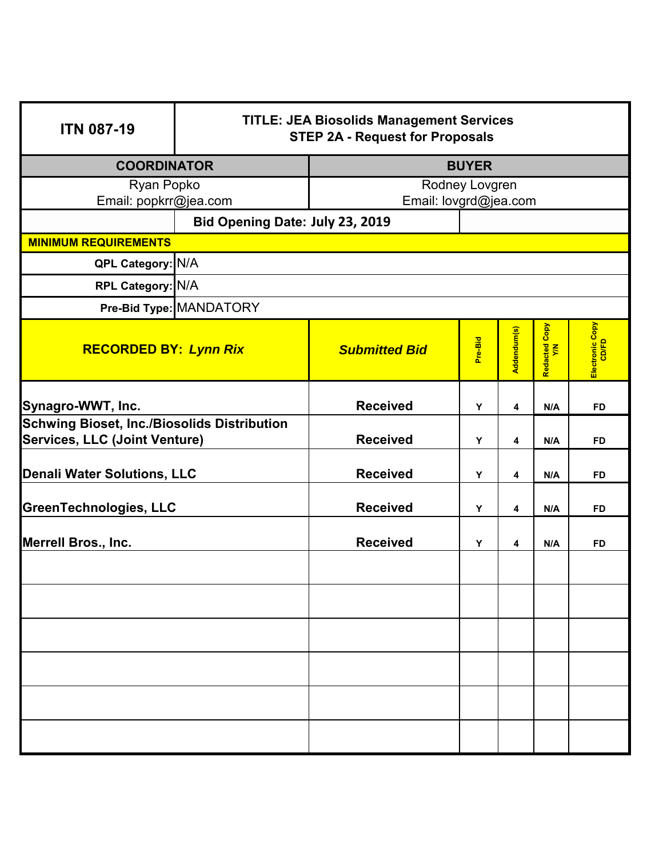| <b>ITN 087-19</b>                                  | <b>TITLE: JEA Biosolids Management Services</b><br><b>STEP 2A - Request for Proposals</b> |                       |         |             |                      |                          |
|----------------------------------------------------|-------------------------------------------------------------------------------------------|-----------------------|---------|-------------|----------------------|--------------------------|
| <b>COORDINATOR</b>                                 |                                                                                           | <b>BUYER</b>          |         |             |                      |                          |
| Ryan Popko                                         |                                                                                           | Rodney Lovgren        |         |             |                      |                          |
| Email: popkrr@jea.com                              |                                                                                           | Email: lovgrd@jea.com |         |             |                      |                          |
| Bid Opening Date: July 23, 2019                    |                                                                                           |                       |         |             |                      |                          |
| <b>MINIMUM REQUIREMENTS</b>                        |                                                                                           |                       |         |             |                      |                          |
| QPL Category: N/A                                  |                                                                                           |                       |         |             |                      |                          |
| RPL Category: N/A                                  |                                                                                           |                       |         |             |                      |                          |
|                                                    | Pre-Bid Type: MANDATORY                                                                   |                       |         |             |                      |                          |
| <b>RECORDED BY: Lynn Rix</b>                       |                                                                                           | <b>Submitted Bid</b>  | Pre-Bid | Addendum(s) | Redacted Copy<br>Y/N | Electronic Copy<br>CD/FD |
| Synagro-WWT, Inc.                                  |                                                                                           | <b>Received</b>       | Y       | 4           | N/A                  | <b>FD</b>                |
| <b>Schwing Bioset, Inc./Biosolids Distribution</b> |                                                                                           |                       |         |             |                      |                          |
| Services, LLC (Joint Venture)                      |                                                                                           | <b>Received</b>       | Y       | 4           | N/A                  | <b>FD</b>                |
| Denali Water Solutions, LLC                        |                                                                                           | <b>Received</b>       | Υ       | 4           | N/A                  | <b>FD</b>                |
| <b>GreenTechnologies, LLC</b>                      |                                                                                           | <b>Received</b>       | Y       | 4           | N/A                  | <b>FD</b>                |
| Merrell Bros., Inc.                                |                                                                                           | <b>Received</b>       | Y       | 4           | N/A                  | <b>FD</b>                |
|                                                    |                                                                                           |                       |         |             |                      |                          |
|                                                    |                                                                                           |                       |         |             |                      |                          |
|                                                    |                                                                                           |                       |         |             |                      |                          |
|                                                    |                                                                                           |                       |         |             |                      |                          |
|                                                    |                                                                                           |                       |         |             |                      |                          |
|                                                    |                                                                                           |                       |         |             |                      |                          |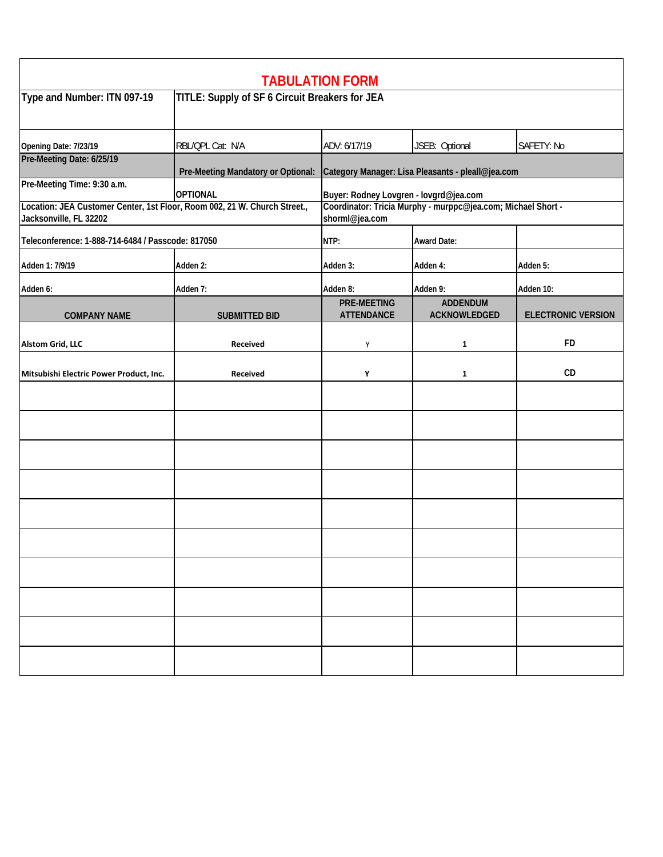| <b>TABULATION FORM</b>                                                                              |                                                |                                                                                |                                 |                           |  |
|-----------------------------------------------------------------------------------------------------|------------------------------------------------|--------------------------------------------------------------------------------|---------------------------------|---------------------------|--|
| Type and Number: ITN 097-19                                                                         | TITLE: Supply of SF 6 Circuit Breakers for JEA |                                                                                |                                 |                           |  |
| Opening Date: 7/23/19                                                                               | RBL/QPL Cat: N/A                               | ADV: 6/17/19                                                                   | JSEB: Optional                  | SAFETY: No                |  |
| Pre-Meeting Date: 6/25/19                                                                           | Pre-Meeting Mandatory or Optional:             | Category Manager: Lisa Pleasants - pleall@jea.com                              |                                 |                           |  |
| Pre-Meeting Time: 9:30 a.m.                                                                         | <b>OPTIONAL</b>                                | Buyer: Rodney Lovgren - lovgrd@jea.com                                         |                                 |                           |  |
| Location: JEA Customer Center, 1st Floor, Room 002, 21 W. Church Street.,<br>Jacksonville, FL 32202 |                                                | Coordinator: Tricia Murphy - murppc@jea.com; Michael Short -<br>shorml@jea.com |                                 |                           |  |
| Teleconference: 1-888-714-6484 / Passcode: 817050                                                   |                                                | NTP:                                                                           | <b>Award Date:</b>              |                           |  |
| Adden 1: 7/9/19                                                                                     | Adden 2:                                       | Adden 3:                                                                       | Adden 4:                        | Adden 5:                  |  |
| Adden 6:                                                                                            | Adden 7:                                       | Adden 8:                                                                       | Adden 9:<br>Adden 10:           |                           |  |
| <b>COMPANY NAME</b>                                                                                 | <b>SUBMITTED BID</b>                           | <b>PRE-MEETING</b><br><b>ATTENDANCE</b>                                        | <b>ADDENDUM</b><br>ACKNOWLEDGED | <b>ELECTRONIC VERSION</b> |  |
| <b>Alstom Grid, LLC</b>                                                                             | Received                                       | Υ                                                                              | 1                               | <b>FD</b>                 |  |
| Mitsubishi Electric Power Product, Inc.                                                             | <b>Received</b>                                | Υ                                                                              | 1                               | CD                        |  |
|                                                                                                     |                                                |                                                                                |                                 |                           |  |
|                                                                                                     |                                                |                                                                                |                                 |                           |  |
|                                                                                                     |                                                |                                                                                |                                 |                           |  |
|                                                                                                     |                                                |                                                                                |                                 |                           |  |
|                                                                                                     |                                                |                                                                                |                                 |                           |  |
|                                                                                                     |                                                |                                                                                |                                 |                           |  |
|                                                                                                     |                                                |                                                                                |                                 |                           |  |
|                                                                                                     |                                                |                                                                                |                                 |                           |  |
|                                                                                                     |                                                |                                                                                |                                 |                           |  |
|                                                                                                     |                                                |                                                                                |                                 |                           |  |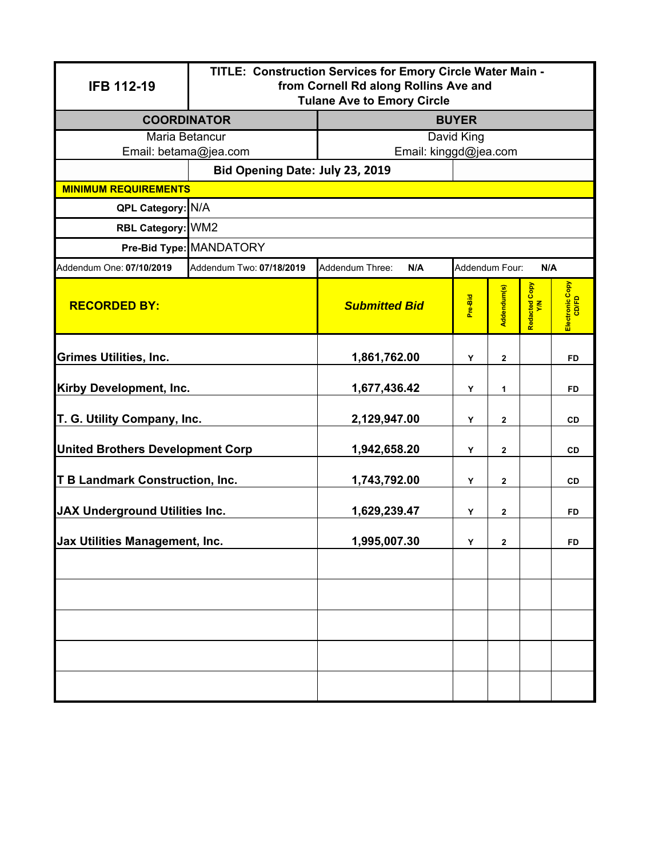| <b>IFB 112-19</b>                                | TITLE: Construction Services for Emory Circle Water Main -<br>from Cornell Rd along Rollins Ave and<br><b>Tulane Ave to Emory Circle</b> |                        |                |                         |                      |                          |  |
|--------------------------------------------------|------------------------------------------------------------------------------------------------------------------------------------------|------------------------|----------------|-------------------------|----------------------|--------------------------|--|
| <b>COORDINATOR</b>                               |                                                                                                                                          | <b>BUYER</b>           |                |                         |                      |                          |  |
| Maria Betancur                                   |                                                                                                                                          | David King             |                |                         |                      |                          |  |
| Email: betama@jea.com                            |                                                                                                                                          | Email: kinggd@jea.com  |                |                         |                      |                          |  |
|                                                  | Bid Opening Date: July 23, 2019                                                                                                          |                        |                |                         |                      |                          |  |
| <b>MINIMUM REQUIREMENTS</b><br>QPL Category: N/A |                                                                                                                                          |                        |                |                         |                      |                          |  |
|                                                  |                                                                                                                                          |                        |                |                         |                      |                          |  |
| RBL Category: WM2                                |                                                                                                                                          |                        |                |                         |                      |                          |  |
|                                                  | Pre-Bid Type: MANDATORY                                                                                                                  |                        |                |                         |                      |                          |  |
| Addendum One: 07/10/2019                         | Addendum Two: 07/18/2019                                                                                                                 | Addendum Three:<br>N/A | Addendum Four: |                         | N/A                  |                          |  |
| <b>RECORDED BY:</b>                              |                                                                                                                                          | <b>Submitted Bid</b>   | Pre-Bid        | Addendum(s)             | Redacted Copy<br>Y/N | Electronic Copy<br>CD/FD |  |
| <b>Grimes Utilities, Inc.</b>                    |                                                                                                                                          | 1,861,762.00           | Υ              | 2                       |                      | <b>FD</b>                |  |
| <b>Kirby Development, Inc.</b>                   |                                                                                                                                          | 1,677,436.42           | Υ              | 1                       |                      | <b>FD</b>                |  |
| T. G. Utility Company, Inc.                      |                                                                                                                                          | 2,129,947.00           | Y              | $\mathbf 2$             |                      | CD                       |  |
| <b>United Brothers Development Corp</b>          |                                                                                                                                          | 1,942,658.20           | Y              | $\mathbf{2}$            |                      | <b>CD</b>                |  |
| <b>T B Landmark Construction, Inc.</b>           |                                                                                                                                          | 1,743,792.00           | Υ              | $\mathbf 2$             |                      | <b>CD</b>                |  |
| <b>JAX Underground Utilities Inc.</b>            |                                                                                                                                          | 1,629,239.47           | Υ              | $\overline{\mathbf{2}}$ |                      | FD                       |  |
| Jax Utilities Management, Inc.                   |                                                                                                                                          | 1,995,007.30           | Υ              | $\mathbf 2$             |                      | FD                       |  |
|                                                  |                                                                                                                                          |                        |                |                         |                      |                          |  |
|                                                  |                                                                                                                                          |                        |                |                         |                      |                          |  |
|                                                  |                                                                                                                                          |                        |                |                         |                      |                          |  |
|                                                  |                                                                                                                                          |                        |                |                         |                      |                          |  |
|                                                  |                                                                                                                                          |                        |                |                         |                      |                          |  |